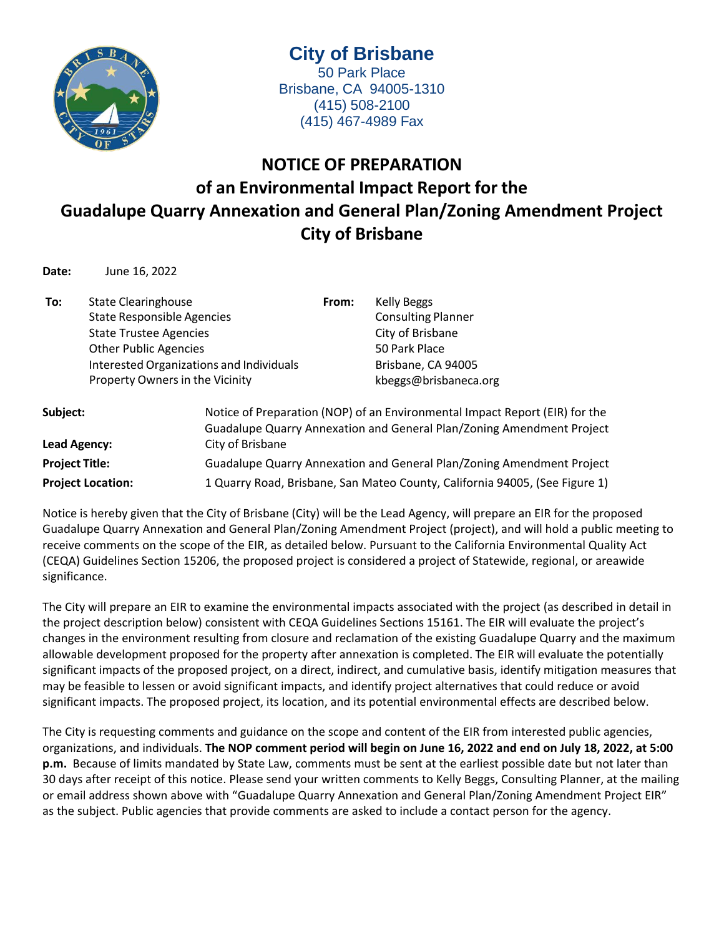

**City of Brisbane** 50 Park Place Brisbane, CA 94005-1310 (415) 508-2100 (415) 467-4989 Fax

## **NOTICE OF PREPARATION of an Environmental Impact Report for the Guadalupe Quarry Annexation and General Plan/Zoning Amendment Project City of Brisbane**

**Date:** June 16, 2022

**To:** State Clearinghouse State Responsible Agencies State Trustee Agencies Other Public Agencies Interested Organizations and Individuals Property Owners in the Vicinity **From:** Kelly Beggs Consulting Planner City of Brisbane 50 Park Place Brisbane, CA 94005 [kbeggs@brisbaneca.org](mailto:kbeggs@brisbaneca.org) **Subject:** Notice of Preparation (NOP) of an Environmental Impact Report (EIR) for the

|                          | Guadalupe Quarry Annexation and General Plan/Zoning Amendment Project       |
|--------------------------|-----------------------------------------------------------------------------|
| Lead Agency:             | City of Brisbane                                                            |
| Proiect Title:           | Guadalupe Quarry Annexation and General Plan/Zoning Amendment Project       |
| <b>Project Location:</b> | 1 Quarry Road, Brisbane, San Mateo County, California 94005, (See Figure 1) |

Notice is hereby given that the City of Brisbane (City) will be the Lead Agency, will prepare an EIR for the proposed Guadalupe Quarry Annexation and General Plan/Zoning Amendment Project (project), and will hold a public meeting to receive comments on the scope of the EIR, as detailed below. Pursuant to the California Environmental Quality Act (CEQA) Guidelines Section 15206, the proposed project is considered a project of Statewide, regional, or areawide significance.

The City will prepare an EIR to examine the environmental impacts associated with the project (as described in detail in the project description below) consistent with CEQA Guidelines Sections 15161. The EIR will evaluate the project's changes in the environment resulting from closure and reclamation of the existing Guadalupe Quarry and the maximum allowable development proposed for the property after annexation is completed. The EIR will evaluate the potentially significant impacts of the proposed project, on a direct, indirect, and cumulative basis, identify mitigation measures that may be feasible to lessen or avoid significant impacts, and identify project alternatives that could reduce or avoid significant impacts. The proposed project, its location, and its potential environmental effects are described below.

The City is requesting comments and guidance on the scope and content of the EIR from interested public agencies, organizations, and individuals. **The NOP comment period will begin on June 16, 2022 and end on July 18, 2022, at 5:00 p.m.** Because of limits mandated by State Law, comments must be sent at the earliest possible date but not later than 30 days after receipt of this notice. Please send your written comments to Kelly Beggs, Consulting Planner, at the mailing or email address shown above with "Guadalupe Quarry Annexation and General Plan/Zoning Amendment Project EIR" as the subject. Public agencies that provide comments are asked to include a contact person for the agency.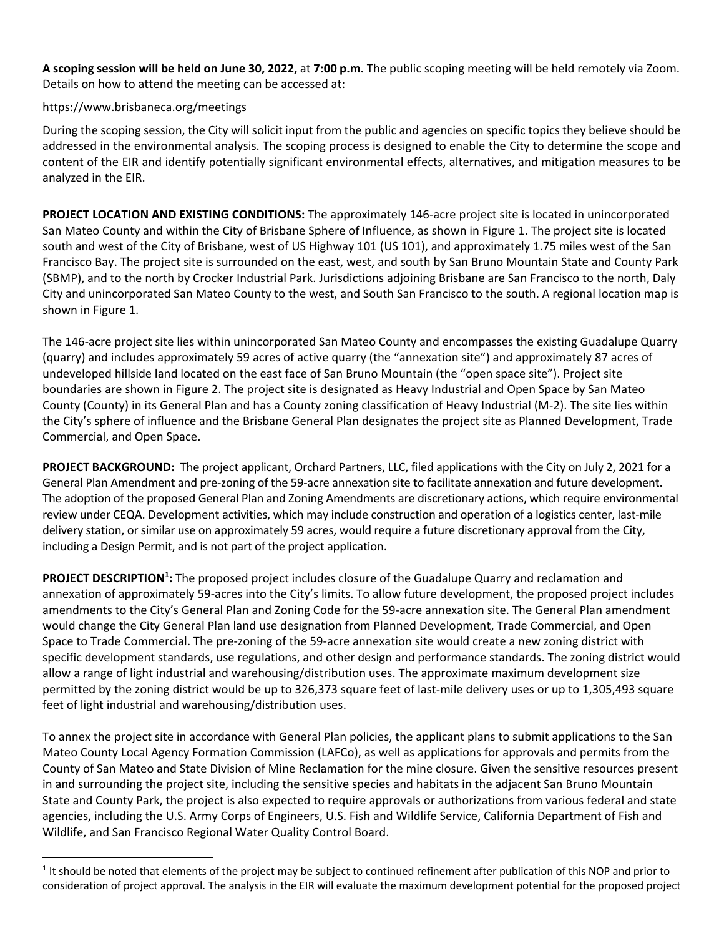**A scoping session will be held on June 30, 2022,** at **7:00 p.m.** The public scoping meeting will be held remotely via Zoom. Details on how to attend the meeting can be accessed at:

## https://www.brisbaneca.org/meetings

During the scoping session, the City will solicit input from the public and agencies on specific topics they believe should be addressed in the environmental analysis. The scoping process is designed to enable the City to determine the scope and content of the EIR and identify potentially significant environmental effects, alternatives, and mitigation measures to be analyzed in the EIR.

**PROJECT LOCATION AND EXISTING CONDITIONS:** The approximately 146-acre project site is located in unincorporated San Mateo County and within the City of Brisbane Sphere of Influence, as shown in Figure 1. The project site is located south and west of the City of Brisbane, west of US Highway 101 (US 101), and approximately 1.75 miles west of the San Francisco Bay. The project site is surrounded on the east, west, and south by San Bruno Mountain State and County Park (SBMP), and to the north by Crocker Industrial Park. Jurisdictions adjoining Brisbane are San Francisco to the north, Daly City and unincorporated San Mateo County to the west, and South San Francisco to the south. A regional location map is shown in Figure 1.

The 146-acre project site lies within unincorporated San Mateo County and encompasses the existing Guadalupe Quarry (quarry) and includes approximately 59 acres of active quarry (the "annexation site") and approximately 87 acres of undeveloped hillside land located on the east face of San Bruno Mountain (the "open space site"). Project site boundaries are shown in Figure 2. The project site is designated as Heavy Industrial and Open Space by San Mateo County (County) in its General Plan and has a County zoning classification of Heavy Industrial (M-2). The site lies within the City's sphere of influence and the Brisbane General Plan designates the project site as Planned Development, Trade Commercial, and Open Space.

**PROJECT BACKGROUND:** The project applicant, Orchard Partners, LLC, filed applications with the City on July 2, 2021 for a General Plan Amendment and pre-zoning of the 59-acre annexation site to facilitate annexation and future development. The adoption of the proposed General Plan and Zoning Amendments are discretionary actions, which require environmental review under CEQA. Development activities, which may include construction and operation of a logistics center, last-mile delivery station, or similar use on approximately 59 acres, would require a future discretionary approval from the City, including a Design Permit, and is not part of the project application.

**PROJECT DESCRIPTION<sup>1</sup> :** The proposed project includes closure of the Guadalupe Quarry and reclamation and annexation of approximately 59-acres into the City's limits. To allow future development, the proposed project includes amendments to the City's General Plan and Zoning Code for the 59-acre annexation site. The General Plan amendment would change the City General Plan land use designation from Planned Development, Trade Commercial, and Open Space to Trade Commercial. The pre-zoning of the 59-acre annexation site would create a new zoning district with specific development standards, use regulations, and other design and performance standards. The zoning district would allow a range of light industrial and warehousing/distribution uses. The approximate maximum development size permitted by the zoning district would be up to 326,373 square feet of last-mile delivery uses or up to 1,305,493 square feet of light industrial and warehousing/distribution uses.

To annex the project site in accordance with General Plan policies, the applicant plans to submit applications to the San Mateo County Local Agency Formation Commission (LAFCo), as well as applications for approvals and permits from the County of San Mateo and State Division of Mine Reclamation for the mine closure. Given the sensitive resources present in and surrounding the project site, including the sensitive species and habitats in the adjacent San Bruno Mountain State and County Park, the project is also expected to require approvals or authorizations from various federal and state agencies, including the U.S. Army Corps of Engineers, U.S. Fish and Wildlife Service, California Department of Fish and Wildlife, and San Francisco Regional Water Quality Control Board.

 $1$  It should be noted that elements of the project may be subject to continued refinement after publication of this NOP and prior to consideration of project approval. The analysis in the EIR will evaluate the maximum development potential for the proposed project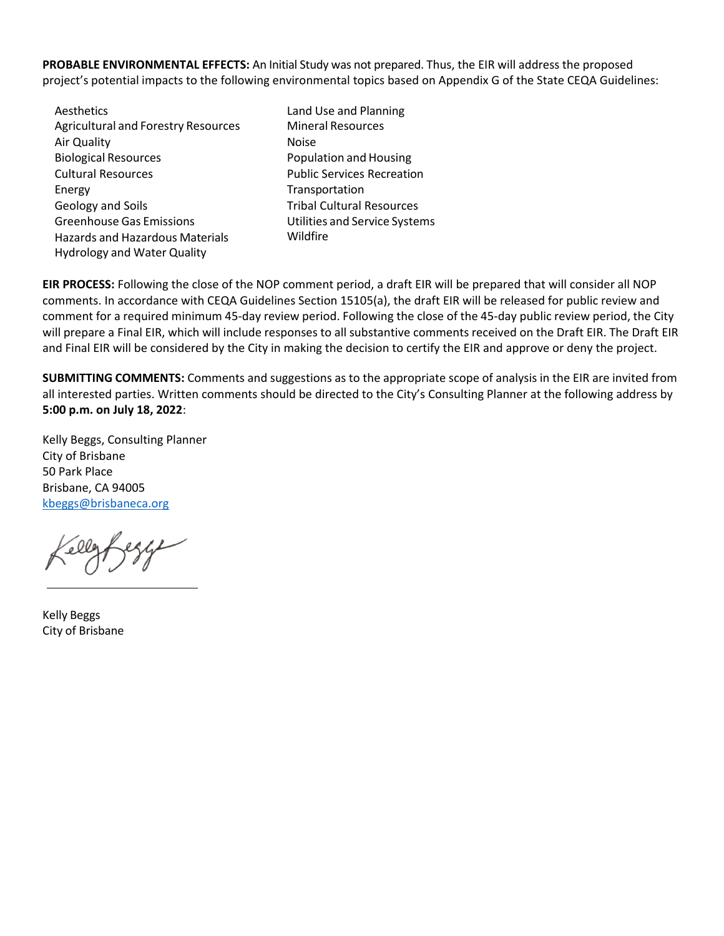**PROBABLE ENVIRONMENTAL EFFECTS:** An Initial Study was not prepared. Thus, the EIR will address the proposed project's potential impacts to the following environmental topics based on Appendix G of the State CEQA Guidelines:

- Aesthetics Agricultural and Forestry Resources Air Quality Biological Resources Cultural Resources Energy Geology and Soils Greenhouse Gas Emissions Hazards and Hazardous Materials Hydrology and Water Quality
- Land Use and Planning Mineral Resources Noise Population and Housing Public Services Recreation Transportation Tribal Cultural Resources Utilities and Service Systems Wildfire

**EIR PROCESS:** Following the close of the NOP comment period, a draft EIR will be prepared that will consider all NOP comments. In accordance with CEQA Guidelines Section 15105(a), the draft EIR will be released for public review and comment for a required minimum 45-day review period. Following the close of the 45-day public review period, the City will prepare a Final EIR, which will include responses to all substantive comments received on the Draft EIR. The Draft EIR and Final EIR will be considered by the City in making the decision to certify the EIR and approve or deny the project.

**SUBMITTING COMMENTS:** Comments and suggestions as to the appropriate scope of analysis in the EIR are invited from all interested parties. Written comments should be directed to the City's Consulting Planner at the following address by **5:00 p.m. on July 18, 2022**:

Kelly Beggs, Consulting Planner City of Brisbane 50 Park Place Brisbane, CA 94005 [kbeggs@brisbaneca.org](mailto:kbeggs@brisbaneca.org)

Kelly Beggs City of Brisbane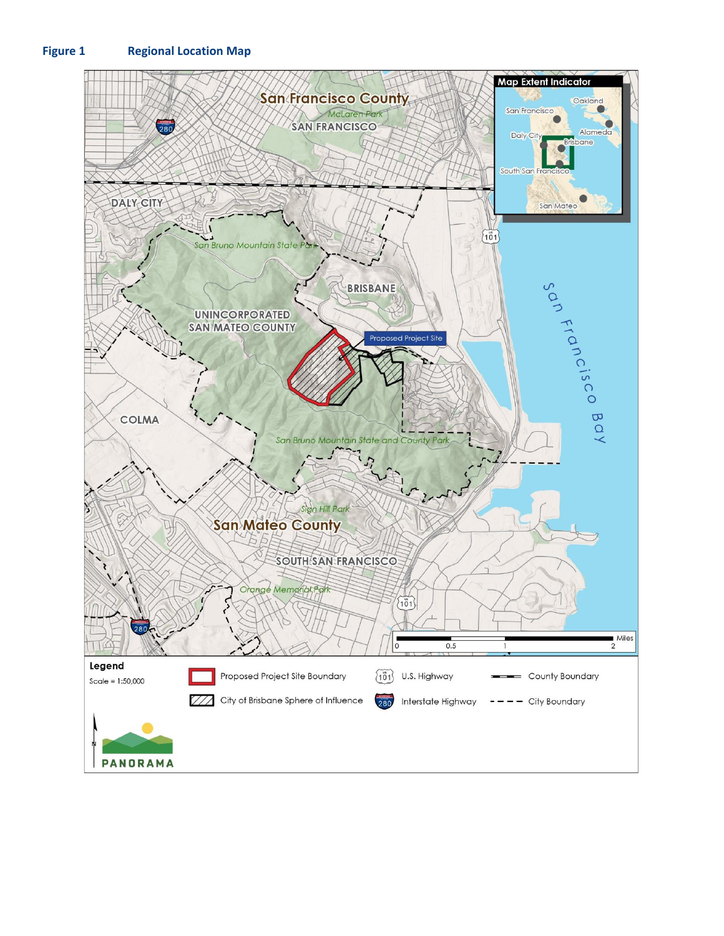## **Figure 1 Regional Location Map**